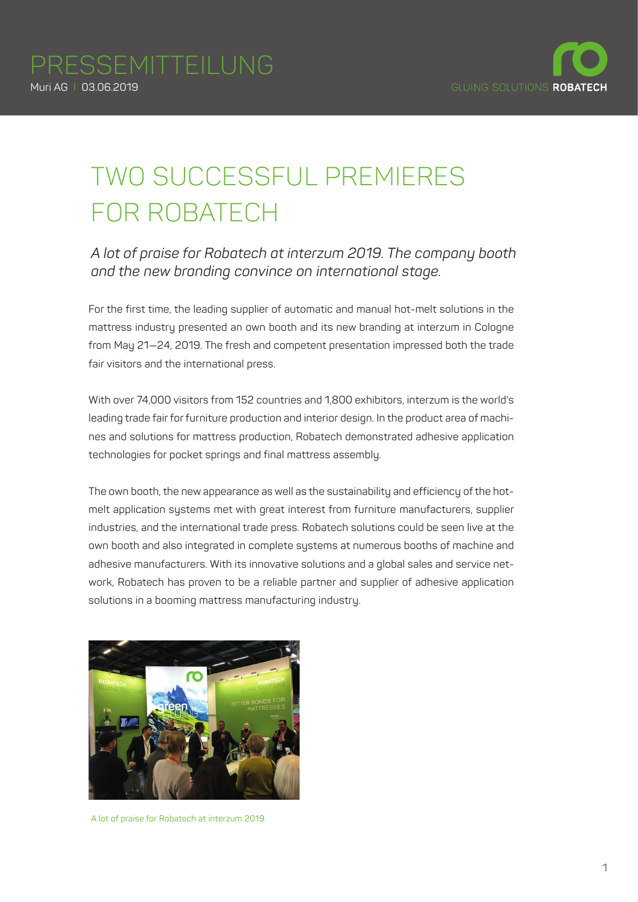

## TWO SUCCESSFUL PREMIERES FOR ROBATECH

## *A lot of praise for Robatech at interzum 2019. The company booth and the new branding convince on international stage.*

For the first time, the leading supplier of automatic and manual hot-melt solutions in the mattress industry presented an own booth and its new branding at interzum in Cologne from May 21—24, 2019. The fresh and competent presentation impressed both the trade fair visitors and the international press.

With over 74,000 visitors from 152 countries and 1,800 exhibitors, interzum is the world's leading trade fair for furniture production and interior design. In the product area of machines and solutions for mattress production, Robatech demonstrated adhesive application technologies for pocket springs and final mattress assembly.

The own booth, the new appearance as well as the sustainability and efficiency of the hotmelt application systems met with great interest from furniture manufacturers, supplier industries, and the international trade press. Robatech solutions could be seen live at the own booth and also integrated in complete systems at numerous booths of machine and adhesive manufacturers. With its innovative solutions and a global sales and service network, Robatech has proven to be a reliable partner and supplier of adhesive application solutions in a booming mattress manufacturing industry.



A lot of praise for Robatech at interzum 2019.